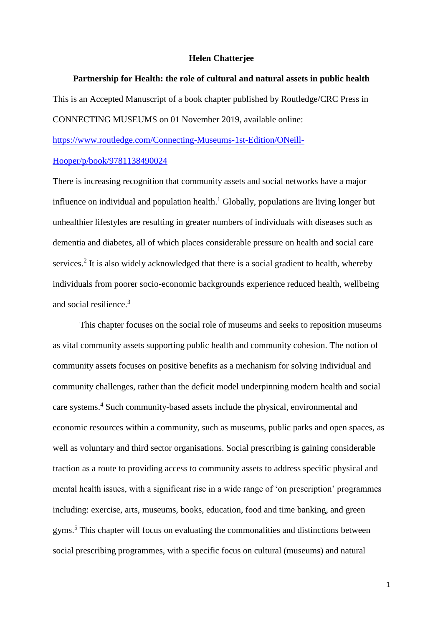#### **Helen Chatterjee**

## **Partnership for Health: the role of cultural and natural assets in public health**

This is an Accepted Manuscript of a book chapter published by Routledge/CRC Press in CONNECTING MUSEUMS on 01 November 2019, available online:

[https://www.routledge.com/Connecting-Museums-1st-Edition/ONeill-](https://www.routledge.com/Connecting-Museums-1st-Edition/ONeill-Hooper/p/book/9781138490024)

#### [Hooper/p/book/9781138490024](https://www.routledge.com/Connecting-Museums-1st-Edition/ONeill-Hooper/p/book/9781138490024)

There is increasing recognition that community assets and social networks have a major influence on individual and population health.<sup>1</sup> Globally, populations are living longer but unhealthier lifestyles are resulting in greater numbers of individuals with diseases such as dementia and diabetes, all of which places considerable pressure on health and social care services.<sup>2</sup> It is also widely acknowledged that there is a social gradient to health, whereby individuals from poorer socio-economic backgrounds experience reduced health, wellbeing and social resilience. 3

This chapter focuses on the social role of museums and seeks to reposition museums as vital community assets supporting public health and community cohesion. The notion of community assets focuses on positive benefits as a mechanism for solving individual and community challenges, rather than the deficit model underpinning modern health and social care systems. <sup>4</sup> Such community-based assets include the physical, environmental and economic resources within a community, such as museums, public parks and open spaces, as well as voluntary and third sector organisations. Social prescribing is gaining considerable traction as a route to providing access to community assets to address specific physical and mental health issues, with a significant rise in a wide range of 'on prescription' programmes including: exercise, arts, museums, books, education, food and time banking, and green gyms.<sup>5</sup> This chapter will focus on evaluating the commonalities and distinctions between social prescribing programmes, with a specific focus on cultural (museums) and natural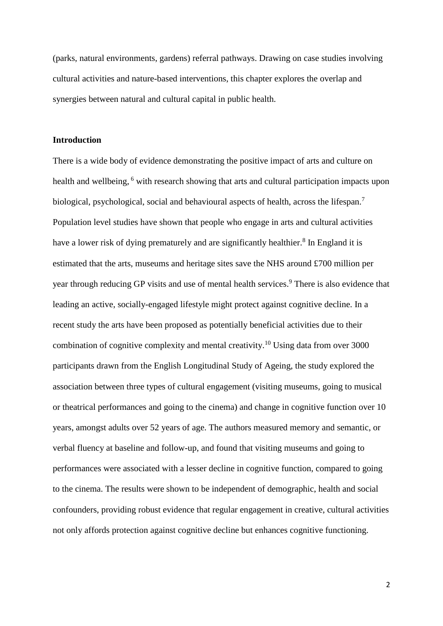(parks, natural environments, gardens) referral pathways. Drawing on case studies involving cultural activities and nature-based interventions, this chapter explores the overlap and synergies between natural and cultural capital in public health.

### **Introduction**

There is a wide body of evidence demonstrating the positive impact of arts and culture on health and wellbeing, <sup>6</sup> with research showing that arts and cultural participation impacts upon biological, psychological, social and behavioural aspects of health, across the lifespan.<sup>7</sup> Population level studies have shown that people who engage in arts and cultural activities have a lower risk of dying prematurely and are significantly healthier.<sup>8</sup> In England it is estimated that the arts, museums and heritage sites save the NHS around £700 million per year through reducing GP visits and use of mental health services. <sup>9</sup> There is also evidence that leading an active, socially-engaged lifestyle might protect against cognitive decline. In a recent study the arts have been proposed as potentially beneficial activities due to their combination of cognitive complexity and mental creativity.<sup>10</sup> Using data from over 3000 participants drawn from the English Longitudinal Study of Ageing, the study explored the association between three types of cultural engagement (visiting museums, going to musical or theatrical performances and going to the cinema) and change in cognitive function over 10 years, amongst adults over 52 years of age. The authors measured memory and semantic, or verbal fluency at baseline and follow-up, and found that visiting museums and going to performances were associated with a lesser decline in cognitive function, compared to going to the cinema. The results were shown to be independent of demographic, health and social confounders, providing robust evidence that regular engagement in creative, cultural activities not only affords protection against cognitive decline but enhances cognitive functioning.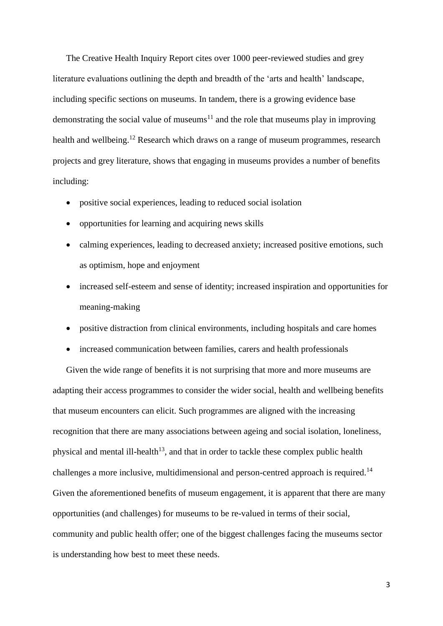The Creative Health Inquiry Report cites over 1000 peer-reviewed studies and grey literature evaluations outlining the depth and breadth of the 'arts and health' landscape, including specific sections on museums. In tandem, there is a growing evidence base demonstrating the social value of museums<sup>11</sup> and the role that museums play in improving health and wellbeing.<sup>12</sup> Research which draws on a range of museum programmes, research projects and grey literature, shows that engaging in museums provides a number of benefits including:

- positive social experiences, leading to reduced social isolation
- opportunities for learning and acquiring news skills
- calming experiences, leading to decreased anxiety; increased positive emotions, such as optimism, hope and enjoyment
- increased self-esteem and sense of identity; increased inspiration and opportunities for meaning-making
- positive distraction from clinical environments, including hospitals and care homes
- increased communication between families, carers and health professionals

Given the wide range of benefits it is not surprising that more and more museums are adapting their access programmes to consider the wider social, health and wellbeing benefits that museum encounters can elicit. Such programmes are aligned with the increasing recognition that there are many associations between ageing and social isolation, loneliness, physical and mental ill-health<sup>13</sup>, and that in order to tackle these complex public health challenges a more inclusive, multidimensional and person-centred approach is required.<sup>14</sup> Given the aforementioned benefits of museum engagement, it is apparent that there are many opportunities (and challenges) for museums to be re-valued in terms of their social, community and public health offer; one of the biggest challenges facing the museums sector is understanding how best to meet these needs.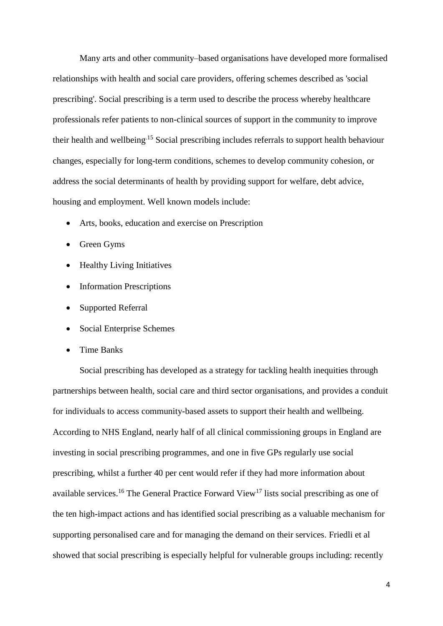Many arts and other community–based organisations have developed more formalised relationships with health and social care providers, offering schemes described as 'social prescribing'. Social prescribing is a term used to describe the process whereby healthcare professionals refer patients to non-clinical sources of support in the community to improve their health and wellbeing.15 Social prescribing includes referrals to support health behaviour changes, especially for long-term conditions, schemes to develop community cohesion, or address the social determinants of health by providing support for welfare, debt advice, housing and employment. Well known models include:

- Arts, books, education and exercise on Prescription
- Green Gyms
- Healthy Living Initiatives
- Information Prescriptions
- Supported Referral
- Social Enterprise Schemes
- Time Banks

Social prescribing has developed as a strategy for tackling health inequities through partnerships between health, social care and third sector organisations, and provides a conduit for individuals to access community-based assets to support their health and wellbeing. According to NHS England, nearly half of all clinical commissioning groups in England are investing in social prescribing programmes, and one in five GPs regularly use social prescribing, whilst a further 40 per cent would refer if they had more information about available services.<sup>16</sup> The General Practice Forward View<sup>17</sup> lists social prescribing as one of the ten high-impact actions and has identified social prescribing as a valuable mechanism for supporting personalised care and for managing the demand on their services. Friedli et al showed that social prescribing is especially helpful for vulnerable groups including: recently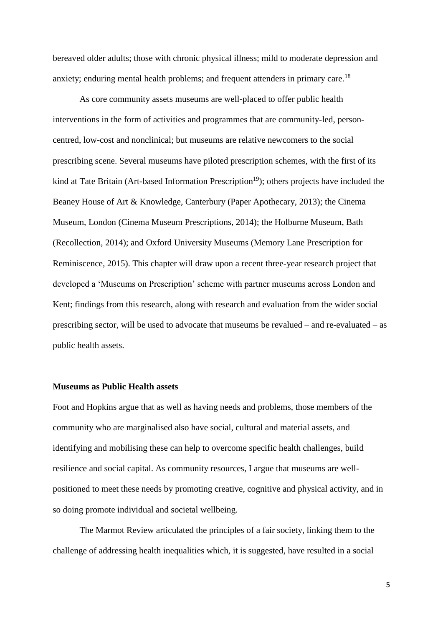bereaved older adults; those with chronic physical illness; mild to moderate depression and anxiety; enduring mental health problems; and frequent attenders in primary care.<sup>18</sup>

As core community assets museums are well-placed to offer public health interventions in the form of activities and programmes that are community-led, personcentred, low-cost and nonclinical; but museums are relative newcomers to the social prescribing scene. Several museums have piloted prescription schemes, with the first of its kind at Tate Britain (Art-based Information Prescription<sup>19</sup>); others projects have included the Beaney House of Art & Knowledge, Canterbury (Paper Apothecary, 2013); the Cinema Museum, London (Cinema Museum Prescriptions, 2014); the Holburne Museum, Bath (Recollection, 2014); and Oxford University Museums (Memory Lane Prescription for Reminiscence, 2015). This chapter will draw upon a recent three-year research project that developed a 'Museums on Prescription' scheme with partner museums across London and Kent; findings from this research, along with research and evaluation from the wider social prescribing sector, will be used to advocate that museums be revalued – and re-evaluated – as public health assets.

## **Museums as Public Health assets**

Foot and Hopkins argue that as well as having needs and problems, those members of the community who are marginalised also have social, cultural and material assets, and identifying and mobilising these can help to overcome specific health challenges, build resilience and social capital. As community resources, I argue that museums are wellpositioned to meet these needs by promoting creative, cognitive and physical activity, and in so doing promote individual and societal wellbeing.

The Marmot Review articulated the principles of a fair society, linking them to the challenge of addressing health inequalities which, it is suggested, have resulted in a social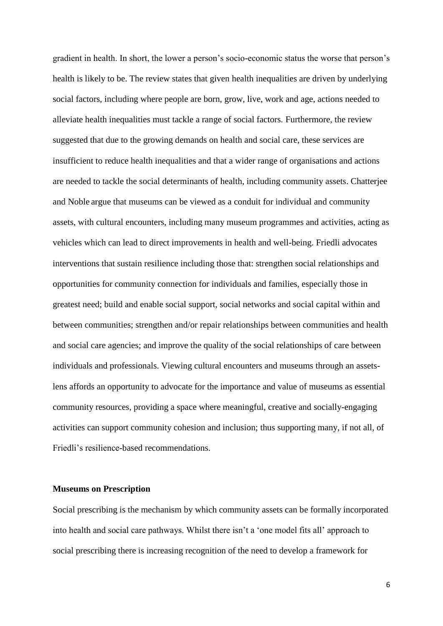gradient in health. In short, the lower a person's socio-economic status the worse that person's health is likely to be. The review states that given health inequalities are driven by underlying social factors, including where people are born, grow, live, work and age, actions needed to alleviate health inequalities must tackle a range of social factors. Furthermore, the review suggested that due to the growing demands on health and social care, these services are insufficient to reduce health inequalities and that a wider range of organisations and actions are needed to tackle the social determinants of health, including community assets. Chatterjee and Noble argue that museums can be viewed as a conduit for individual and community assets, with cultural encounters, including many museum programmes and activities, acting as vehicles which can lead to direct improvements in health and well-being. Friedli advocates interventions that sustain resilience including those that: strengthen social relationships and opportunities for community connection for individuals and families, especially those in greatest need; build and enable social support, social networks and social capital within and between communities; strengthen and/or repair relationships between communities and health and social care agencies; and improve the quality of the social relationships of care between individuals and professionals. Viewing cultural encounters and museums through an assetslens affords an opportunity to advocate for the importance and value of museums as essential community resources, providing a space where meaningful, creative and socially-engaging activities can support community cohesion and inclusion; thus supporting many, if not all, of Friedli's resilience-based recommendations.

### **Museums on Prescription**

Social prescribing is the mechanism by which community assets can be formally incorporated into health and social care pathways. Whilst there isn't a 'one model fits all' approach to social prescribing there is increasing recognition of the need to develop a framework for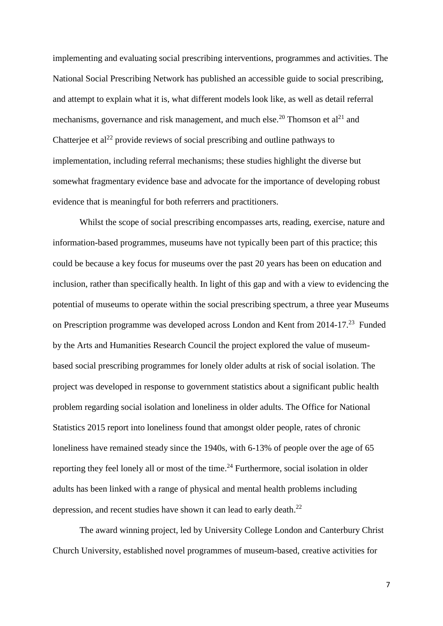implementing and evaluating social prescribing interventions, programmes and activities. The National Social Prescribing Network has published an accessible guide to social prescribing, and attempt to explain what it is, what different models look like, as well as detail referral mechanisms, governance and risk management, and much else.<sup>20</sup> Thomson et al<sup>21</sup> and Chatterjee et  $al^{22}$  provide reviews of social prescribing and outline pathways to implementation, including referral mechanisms; these studies highlight the diverse but somewhat fragmentary evidence base and advocate for the importance of developing robust evidence that is meaningful for both referrers and practitioners.

Whilst the scope of social prescribing encompasses arts, reading, exercise, nature and information-based programmes, museums have not typically been part of this practice; this could be because a key focus for museums over the past 20 years has been on education and inclusion, rather than specifically health. In light of this gap and with a view to evidencing the potential of museums to operate within the social prescribing spectrum, a three year Museums on Prescription programme was developed across London and Kent from 2014-17.<sup>23</sup> Funded by the Arts and Humanities Research Council the project explored the value of museumbased social prescribing programmes for lonely older adults at risk of social isolation. The project was developed in response to government statistics about a significant public health problem regarding social isolation and loneliness in older adults. The Office for National Statistics 2015 report into loneliness found that amongst older people, rates of chronic loneliness have remained steady since the 1940s, with 6-13% of people over the age of 65 reporting they feel lonely all or most of the time.<sup>24</sup> Furthermore, social isolation in older adults has been linked with a range of physical and mental health problems including depression, and recent studies have shown it can lead to early death.<sup>22</sup>

The award winning project, led by University College London and Canterbury Christ Church University, established novel programmes of museum-based, creative activities for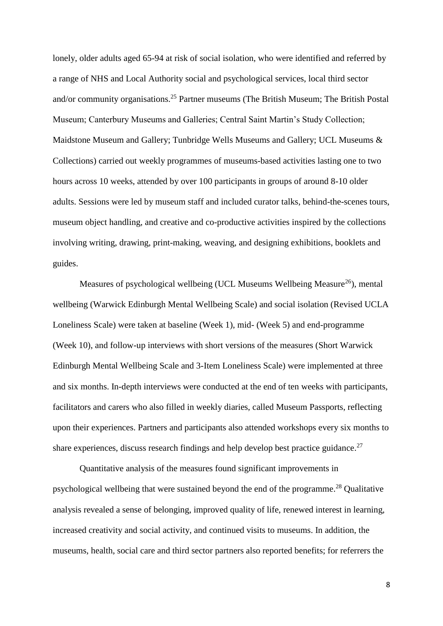lonely, older adults aged 65-94 at risk of social isolation, who were identified and referred by a range of NHS and Local Authority social and psychological services, local third sector and/or community organisations.<sup>25</sup> Partner museums (The British Museum; The British Postal Museum; Canterbury Museums and Galleries; Central Saint Martin's Study Collection; Maidstone Museum and Gallery; Tunbridge Wells Museums and Gallery; UCL Museums & Collections) carried out weekly programmes of museums-based activities lasting one to two hours across 10 weeks, attended by over 100 participants in groups of around 8-10 older adults. Sessions were led by museum staff and included curator talks, behind-the-scenes tours, museum object handling, and creative and co-productive activities inspired by the collections involving writing, drawing, print-making, weaving, and designing exhibitions, booklets and guides.

Measures of psychological wellbeing (UCL Museums Wellbeing Measure<sup>26</sup>), mental wellbeing (Warwick Edinburgh Mental Wellbeing Scale) and social isolation (Revised UCLA Loneliness Scale) were taken at baseline (Week 1), mid- (Week 5) and end-programme (Week 10), and follow-up interviews with short versions of the measures (Short Warwick Edinburgh Mental Wellbeing Scale and 3-Item Loneliness Scale) were implemented at three and six months. In-depth interviews were conducted at the end of ten weeks with participants, facilitators and carers who also filled in weekly diaries, called Museum Passports, reflecting upon their experiences. Partners and participants also attended workshops every six months to share experiences, discuss research findings and help develop best practice guidance.<sup>27</sup>

Quantitative analysis of the measures found significant improvements in psychological wellbeing that were sustained beyond the end of the programme. <sup>28</sup> Qualitative analysis revealed a sense of belonging, improved quality of life, renewed interest in learning, increased creativity and social activity, and continued visits to museums. In addition, the museums, health, social care and third sector partners also reported benefits; for referrers the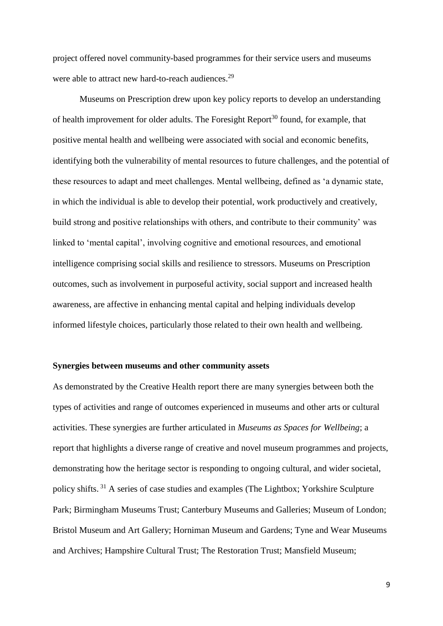project offered novel community-based programmes for their service users and museums were able to attract new hard-to-reach audiences.<sup>29</sup>

Museums on Prescription drew upon key policy reports to develop an understanding of health improvement for older adults. The Foresight Report<sup>30</sup> found, for example, that positive mental health and wellbeing were associated with social and economic benefits, identifying both the vulnerability of mental resources to future challenges, and the potential of these resources to adapt and meet challenges. Mental wellbeing, defined as 'a dynamic state, in which the individual is able to develop their potential, work productively and creatively, build strong and positive relationships with others, and contribute to their community' was linked to 'mental capital', involving cognitive and emotional resources, and emotional intelligence comprising social skills and resilience to stressors. Museums on Prescription outcomes, such as involvement in purposeful activity, social support and increased health awareness, are affective in enhancing mental capital and helping individuals develop informed lifestyle choices, particularly those related to their own health and wellbeing.

#### **Synergies between museums and other community assets**

As demonstrated by the Creative Health report there are many synergies between both the types of activities and range of outcomes experienced in museums and other arts or cultural activities. These synergies are further articulated in *Museums as Spaces for Wellbeing*; a report that highlights a diverse range of creative and novel museum programmes and projects, demonstrating how the heritage sector is responding to ongoing cultural, and wider societal, policy shifts. <sup>31</sup> A series of case studies and examples (The Lightbox; Yorkshire Sculpture Park; Birmingham Museums Trust; Canterbury Museums and Galleries; Museum of London; Bristol Museum and Art Gallery; Horniman Museum and Gardens; Tyne and Wear Museums and Archives; Hampshire Cultural Trust; The Restoration Trust; Mansfield Museum;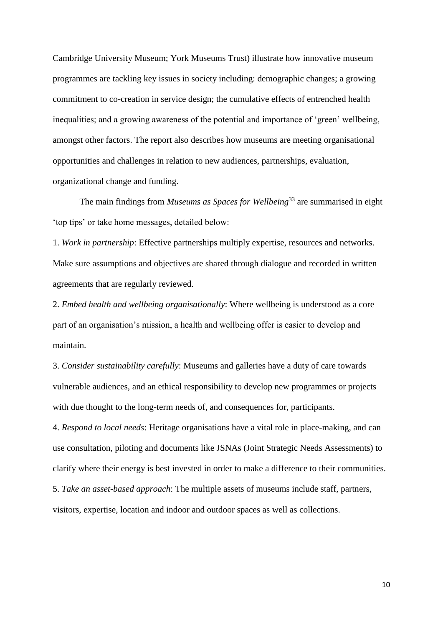Cambridge University Museum; York Museums Trust) illustrate how innovative museum programmes are tackling key issues in society including: demographic changes; a growing commitment to co-creation in service design; the cumulative effects of entrenched health inequalities; and a growing awareness of the potential and importance of 'green' wellbeing, amongst other factors. The report also describes how museums are meeting organisational opportunities and challenges in relation to new audiences, partnerships, evaluation, organizational change and funding.

The main findings from *Museums as Spaces for Wellbeing*<sup>33</sup> are summarised in eight 'top tips' or take home messages, detailed below:

1. *Work in partnership*: Effective partnerships multiply expertise, resources and networks. Make sure assumptions and objectives are shared through dialogue and recorded in written agreements that are regularly reviewed.

2. *Embed health and wellbeing organisationally*: Where wellbeing is understood as a core part of an organisation's mission, a health and wellbeing offer is easier to develop and maintain.

3. *Consider sustainability carefully*: Museums and galleries have a duty of care towards vulnerable audiences, and an ethical responsibility to develop new programmes or projects with due thought to the long-term needs of, and consequences for, participants.

4. *Respond to local needs*: Heritage organisations have a vital role in place-making, and can use consultation, piloting and documents like JSNAs (Joint Strategic Needs Assessments) to clarify where their energy is best invested in order to make a difference to their communities. 5. *Take an asset-based approach*: The multiple assets of museums include staff, partners, visitors, expertise, location and indoor and outdoor spaces as well as collections.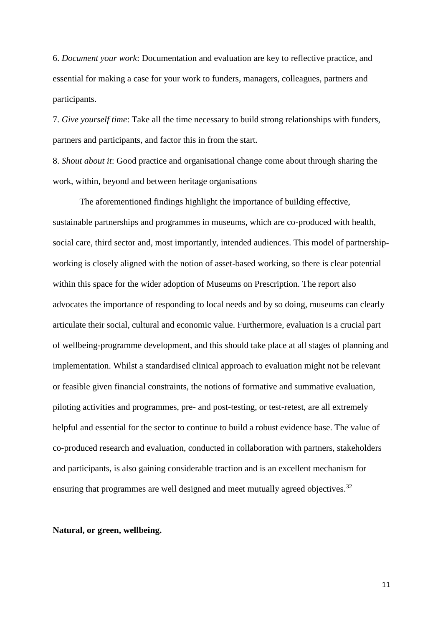6. *Document your work*: Documentation and evaluation are key to reflective practice, and essential for making a case for your work to funders, managers, colleagues, partners and participants.

7. *Give yourself time*: Take all the time necessary to build strong relationships with funders, partners and participants, and factor this in from the start.

8. *Shout about it*: Good practice and organisational change come about through sharing the work, within, beyond and between heritage organisations

The aforementioned findings highlight the importance of building effective, sustainable partnerships and programmes in museums, which are co-produced with health, social care, third sector and, most importantly, intended audiences. This model of partnershipworking is closely aligned with the notion of asset-based working, so there is clear potential within this space for the wider adoption of Museums on Prescription. The report also advocates the importance of responding to local needs and by so doing, museums can clearly articulate their social, cultural and economic value. Furthermore, evaluation is a crucial part of wellbeing-programme development, and this should take place at all stages of planning and implementation. Whilst a standardised clinical approach to evaluation might not be relevant or feasible given financial constraints, the notions of formative and summative evaluation, piloting activities and programmes, pre- and post-testing, or test-retest, are all extremely helpful and essential for the sector to continue to build a robust evidence base. The value of co-produced research and evaluation, conducted in collaboration with partners, stakeholders and participants, is also gaining considerable traction and is an excellent mechanism for ensuring that programmes are well designed and meet mutually agreed objectives.<sup>32</sup>

# **Natural, or green, wellbeing.**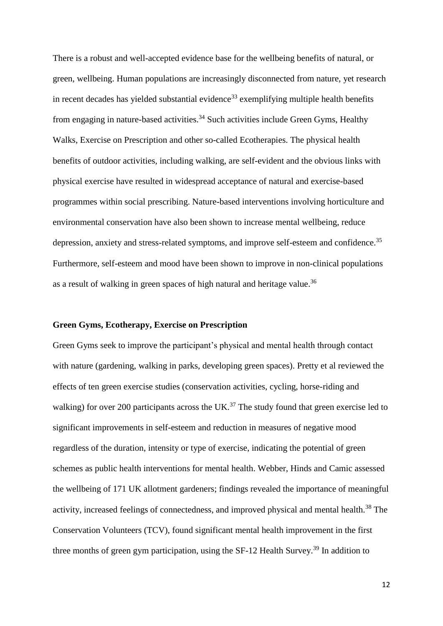There is a robust and well-accepted evidence base for the wellbeing benefits of natural, or green, wellbeing. Human populations are increasingly disconnected from nature, yet research in recent decades has yielded substantial evidence<sup>33</sup> exemplifying multiple health benefits from engaging in nature-based activities.<sup>34</sup> Such activities include Green Gyms, Healthy Walks, Exercise on Prescription and other so-called Ecotherapies. The physical health benefits of outdoor activities, including walking, are self-evident and the obvious links with physical exercise have resulted in widespread acceptance of natural and exercise-based programmes within social prescribing. Nature-based interventions involving horticulture and environmental conservation have also been shown to increase mental wellbeing, reduce depression, anxiety and stress-related symptoms, and improve self-esteem and confidence.<sup>35</sup> Furthermore, self-esteem and mood have been shown to improve in non-clinical populations as a result of walking in green spaces of high natural and heritage value.<sup>36</sup>

#### **Green Gyms, Ecotherapy, Exercise on Prescription**

Green Gyms seek to improve the participant's physical and mental health through contact with nature (gardening, walking in parks, developing green spaces). Pretty et al reviewed the effects of ten green exercise studies (conservation activities, cycling, horse-riding and walking) for over 200 participants across the UK.<sup>37</sup> The study found that green exercise led to significant improvements in self-esteem and reduction in measures of negative mood regardless of the duration, intensity or type of exercise, indicating the potential of green schemes as public health interventions for mental health. Webber, Hinds and Camic assessed the wellbeing of 171 UK allotment gardeners; findings revealed the importance of meaningful activity, increased feelings of connectedness, and improved physical and mental health.<sup>38</sup> The Conservation Volunteers (TCV), found significant mental health improvement in the first three months of green gym participation, using the SF-12 Health Survey.<sup>39</sup> In addition to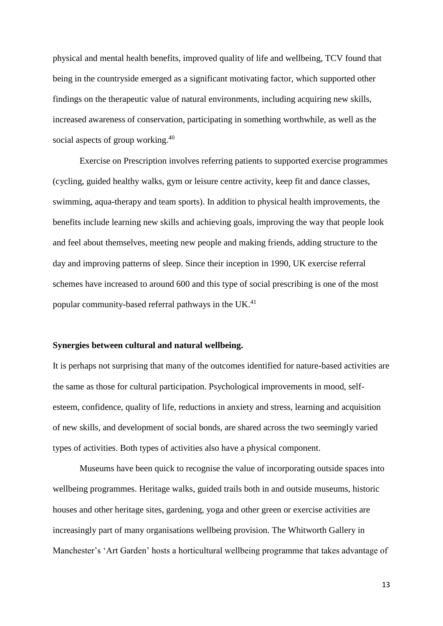physical and mental health benefits, improved quality of life and wellbeing, TCV found that being in the countryside emerged as a significant motivating factor, which supported other findings on the therapeutic value of natural environments, including acquiring new skills, increased awareness of conservation, participating in something worthwhile, as well as the social aspects of group working.<sup>40</sup>

Exercise on Prescription involves referring patients to supported exercise programmes (cycling, guided healthy walks, gym or leisure centre activity, keep fit and dance classes, swimming, aqua-therapy and team sports). In addition to physical health improvements, the benefits include learning new skills and achieving goals, improving the way that people look and feel about themselves, meeting new people and making friends, adding structure to the day and improving patterns of sleep. Since their inception in 1990, UK exercise referral schemes have increased to around 600 and this type of social prescribing is one of the most popular community-based referral pathways in the UK.<sup>41</sup>

# **Synergies between cultural and natural wellbeing.**

It is perhaps not surprising that many of the outcomes identified for nature-based activities are the same as those for cultural participation. Psychological improvements in mood, selfesteem, confidence, quality of life, reductions in anxiety and stress, learning and acquisition of new skills, and development of social bonds, are shared across the two seemingly varied types of activities. Both types of activities also have a physical component.

Museums have been quick to recognise the value of incorporating outside spaces into wellbeing programmes. Heritage walks, guided trails both in and outside museums, historic houses and other heritage sites, gardening, yoga and other green or exercise activities are increasingly part of many organisations wellbeing provision. The Whitworth Gallery in Manchester's 'Art Garden' hosts a horticultural wellbeing programme that takes advantage of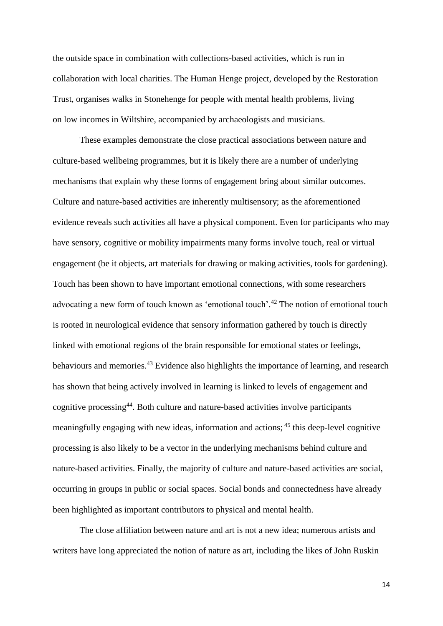the outside space in combination with collections-based activities, which is run in collaboration with local charities. The Human Henge project, developed by the Restoration Trust, organises walks in Stonehenge for people with mental health problems, living on low incomes in Wiltshire, accompanied by archaeologists and musicians.

These examples demonstrate the close practical associations between nature and culture-based wellbeing programmes, but it is likely there are a number of underlying mechanisms that explain why these forms of engagement bring about similar outcomes. Culture and nature-based activities are inherently multisensory; as the aforementioned evidence reveals such activities all have a physical component. Even for participants who may have sensory, cognitive or mobility impairments many forms involve touch, real or virtual engagement (be it objects, art materials for drawing or making activities, tools for gardening). Touch has been shown to have important emotional connections, with some researchers advocating a new form of touch known as 'emotional touch'.<sup>42</sup> The notion of emotional touch is rooted in neurological evidence that sensory information gathered by touch is directly linked with emotional regions of the brain responsible for emotional states or feelings, behaviours and memories.<sup>43</sup> Evidence also highlights the importance of learning, and research has shown that being actively involved in learning is linked to levels of engagement and cognitive processing<sup>44</sup>. Both culture and nature-based activities involve participants meaningfully engaging with new ideas, information and actions; <sup>45</sup> this deep-level cognitive processing is also likely to be a vector in the underlying mechanisms behind culture and nature-based activities. Finally, the majority of culture and nature-based activities are social, occurring in groups in public or social spaces. Social bonds and connectedness have already been highlighted as important contributors to physical and mental health.

The close affiliation between nature and art is not a new idea; numerous artists and writers have long appreciated the notion of nature as art, including the likes of John Ruskin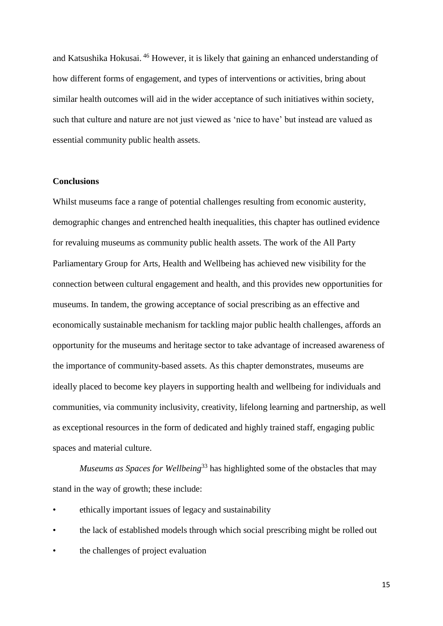and Katsushika Hokusai. <sup>46</sup> However, it is likely that gaining an enhanced understanding of how different forms of engagement, and types of interventions or activities, bring about similar health outcomes will aid in the wider acceptance of such initiatives within society, such that culture and nature are not just viewed as 'nice to have' but instead are valued as essential community public health assets.

#### **Conclusions**

Whilst museums face a range of potential challenges resulting from economic austerity, demographic changes and entrenched health inequalities, this chapter has outlined evidence for revaluing museums as community public health assets. The work of the All Party Parliamentary Group for Arts, Health and Wellbeing has achieved new visibility for the connection between cultural engagement and health, and this provides new opportunities for museums. In tandem, the growing acceptance of social prescribing as an effective and economically sustainable mechanism for tackling major public health challenges, affords an opportunity for the museums and heritage sector to take advantage of increased awareness of the importance of community-based assets. As this chapter demonstrates, museums are ideally placed to become key players in supporting health and wellbeing for individuals and communities, via community inclusivity, creativity, lifelong learning and partnership, as well as exceptional resources in the form of dedicated and highly trained staff, engaging public spaces and material culture.

*Museums as Spaces for Wellbeing*<sup>33</sup> has highlighted some of the obstacles that may stand in the way of growth; these include:

- ethically important issues of legacy and sustainability
- the lack of established models through which social prescribing might be rolled out
- the challenges of project evaluation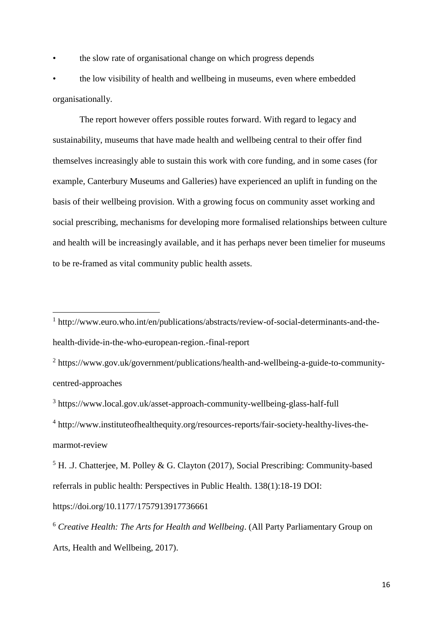• the slow rate of organisational change on which progress depends

• the low visibility of health and wellbeing in museums, even where embedded organisationally.

The report however offers possible routes forward. With regard to legacy and sustainability, museums that have made health and wellbeing central to their offer find themselves increasingly able to sustain this work with core funding, and in some cases (for example, Canterbury Museums and Galleries) have experienced an uplift in funding on the basis of their wellbeing provision. With a growing focus on community asset working and social prescribing, mechanisms for developing more formalised relationships between culture and health will be increasingly available, and it has perhaps never been timelier for museums to be re-framed as vital community public health assets.

<sup>2</sup> https://www.gov.uk/government/publications/health-and-wellbeing-a-guide-to-communitycentred-approaches

<sup>3</sup> https://www.local.gov.uk/asset-approach-community-wellbeing-glass-half-full

<sup>4</sup> http://www.instituteofhealthequity.org/resources-reports/fair-society-healthy-lives-themarmot-review

 $<sup>5</sup>$  H. .J. Chatterjee, M. Polley & G. Clayton (2017), Social Prescribing: Community-based</sup> referrals in public health: Perspectives in Public Health. 138(1):18-19 DOI:

https://doi.org/10.1177/1757913917736661

 $\overline{\phantom{a}}$ 

<sup>6</sup> *Creative Health: The Arts for Health and Wellbeing*. (All Party Parliamentary Group on Arts, Health and Wellbeing, 2017).

<sup>&</sup>lt;sup>1</sup> http://www.euro.who.int/en/publications/abstracts/review-of-social-determinants-and-thehealth-divide-in-the-who-european-region.-final-report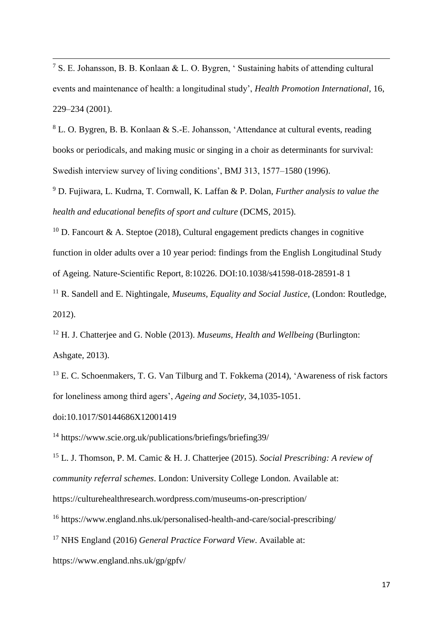<sup>7</sup> S. E. Johansson, B. B. Konlaan & L. O. Bygren, ' Sustaining habits of attending cultural events and maintenance of health: a longitudinal study', *Health Promotion International*, 16, 229–234 (2001).

<sup>8</sup> L. O. Bygren, B. B. Konlaan & S.-E. Johansson, 'Attendance at cultural events, reading books or periodicals, and making music or singing in a choir as determinants for survival: Swedish interview survey of living conditions', BMJ 313, 1577–1580 (1996).

<sup>9</sup> D. Fujiwara, L. Kudrna, T. Cornwall, K. Laffan & P. Dolan, *Further analysis to value the health and educational benefits of sport and culture* (DCMS, 2015).

<sup>10</sup> D. Fancourt & A. Steptoe (2018), Cultural engagement predicts changes in cognitive function in older adults over a 10 year period: findings from the English Longitudinal Study of Ageing. Nature-Scientific Report, 8:10226. DOI:10.1038/s41598-018-28591-8 1

<sup>11</sup> R. Sandell and E. Nightingale, *Museums, Equality and Social Justice*, (London: Routledge, 2012).

<sup>12</sup> H. J. Chatterjee and G. Noble (2013). *Museums, Health and Wellbeing* (Burlington: Ashgate, 2013).

<sup>13</sup> E. C. Schoenmakers, T. G. Van Tilburg and T. Fokkema (2014), 'Awareness of risk factors for loneliness among third agers', *Ageing and Society*, 34,1035-1051.

doi:10.1017/S0144686X12001419

 $\overline{\phantom{a}}$ 

<sup>14</sup> https://www.scie.org.uk/publications/briefings/briefing39/

<sup>15</sup> L. J. Thomson, P. M. Camic & H. J. Chatterjee (2015). *Social Prescribing: A review of community referral schemes*. London: University College London. Available at: https://culturehealthresearch.wordpress.com/museums-on-prescription/

<sup>16</sup> https://www.england.nhs.uk/personalised-health-and-care/social-prescribing/

<sup>17</sup> NHS England (2016) *General Practice Forward View*. Available at:

https://www.england.nhs.uk/gp/gpfv/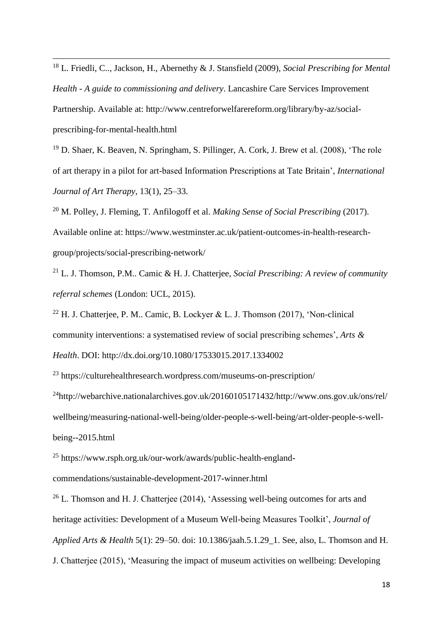<sup>18</sup> L. Friedli, C.., Jackson, H., Abernethy & J. Stansfield (2009), *Social Prescribing for Mental Health - A guide to commissioning and delivery*. Lancashire Care Services Improvement Partnership. Available at: http://www.centreforwelfarereform.org/library/by-az/socialprescribing-for-mental-health.html

 $\overline{\phantom{a}}$ 

<sup>19</sup> D. Shaer, K. Beaven, N. Springham, S. Pillinger, A. Cork, J. Brew et al. (2008), 'The role of art therapy in a pilot for art-based Information Prescriptions at Tate Britain', *International Journal of Art Therapy*, 13(1), 25–33.

<sup>20</sup> M. Polley, J. Fleming, T. Anfilogoff et al. *Making Sense of Social Prescribing* (2017). Available online at: https://www.westminster.ac.uk/patient-outcomes-in-health-researchgroup/projects/social-prescribing-network/

<sup>21</sup> L. J. Thomson, P.M.. Camic & H. J. Chatterjee, *Social Prescribing: A review of community referral schemes* (London: UCL, 2015).

<sup>22</sup> H. J. Chatterjee, P. M.. Camic, B. Lockyer & L. J. Thomson (2017), 'Non-clinical community interventions: a systematised review of social prescribing schemes', *Arts & Health*. DOI: http://dx.doi.org/10.1080/17533015.2017.1334002

<sup>23</sup> https://culturehealthresearch.wordpress.com/museums-on-prescription/

 $^{24}$ http://webarchive.nationalarchives.gov.uk/20160105171432/http://www.ons.gov.uk/ons/rel/ wellbeing/measuring-national-well-being/older-people-s-well-being/art-older-people-s-wellbeing--2015.html

<sup>25</sup> https://www.rsph.org.uk/our-work/awards/public-health-englandcommendations/sustainable-development-2017-winner.html

 $26$  L. Thomson and H. J. Chatterjee (2014), 'Assessing well-being outcomes for arts and heritage activities: Development of a Museum Well-being Measures Toolkit', *Journal of Applied Arts & Health* 5(1): 29–50. doi: 10.1386/jaah.5.1.29\_1. See, also, L. Thomson and H. J. Chatterjee (2015), 'Measuring the impact of museum activities on wellbeing: Developing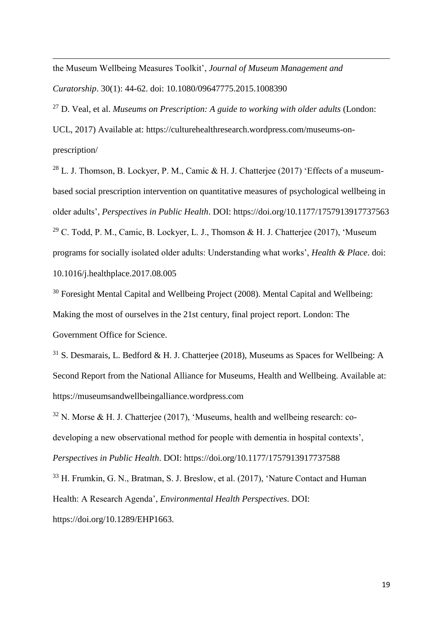the Museum Wellbeing Measures Toolkit', *Journal of Museum Management and Curatorship*. 30(1): 44-62. doi: 10.1080/09647775.2015.1008390

 $\overline{\phantom{a}}$ 

<sup>27</sup> D. Veal, et al. *Museums on Prescription: A guide to working with older adults* (London:

UCL, 2017) Available at: https://culturehealthresearch.wordpress.com/museums-onprescription/

<sup>28</sup> L. J. Thomson, B. Lockyer, P. M., Camic & H. J. Chatterjee (2017) 'Effects of a museumbased social prescription intervention on quantitative measures of psychological wellbeing in older adults', *Perspectives in Public Health*. DOI: https://doi.org/10.1177/1757913917737563 <sup>29</sup> C. Todd, P. M., Camic, B. Lockyer, L. J., Thomson & H. J. Chatterjee (2017), 'Museum programs for socially isolated older adults: Understanding what works', *Health & Place*. doi: 10.1016/j.healthplace.2017.08.005

<sup>30</sup> Foresight Mental Capital and Wellbeing Project (2008). Mental Capital and Wellbeing: Making the most of ourselves in the 21st century, final project report. London: The Government Office for Science.

 $31$  S. Desmarais, L. Bedford & H. J. Chatterjee (2018), Museums as Spaces for Wellbeing: A Second Report from the National Alliance for Museums, Health and Wellbeing. Available at: https://museumsandwellbeingalliance.wordpress.com

 $32$  N. Morse & H. J. Chatterjee (2017), 'Museums, health and wellbeing research: codeveloping a new observational method for people with dementia in hospital contexts', *Perspectives in Public Health*. DOI: https://doi.org/10.1177/1757913917737588

<sup>33</sup> H. Frumkin, G. N., Bratman, S. J. Breslow, et al. (2017), 'Nature Contact and Human Health: A Research Agenda', *Environmental Health Perspectives*. DOI: https://doi.org/10.1289/EHP1663.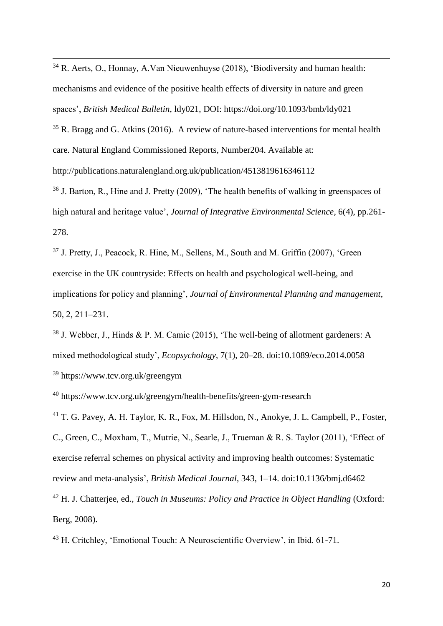$34$  R. Aerts, O., Honnay, A.Van Nieuwenhuyse (2018), 'Biodiversity and human health: mechanisms and evidence of the positive health effects of diversity in nature and green spaces', *British Medical Bulletin*, ldy021, DOI: https://doi.org/10.1093/bmb/ldy021

 $35$  R. Bragg and G. Atkins (2016). A review of nature-based interventions for mental health care. Natural England Commissioned Reports, Number204. Available at:

http://publications.naturalengland.org.uk/publication/4513819616346112

<sup>36</sup> J. Barton, R., Hine and J. Pretty (2009), 'The health benefits of walking in greenspaces of high natural and heritage value', *Journal of Integrative Environmental Science*, 6(4), pp.261- 278.

<sup>37</sup> J. Pretty, J., Peacock, R. Hine, M., Sellens, M., South and M. Griffin (2007), 'Green exercise in the UK countryside: Effects on health and psychological well-being, and implications for policy and planning', *Journal of Environmental Planning and management*, 50, 2, 211–231.

<sup>38</sup> J. Webber, J., Hinds & P. M. Camic (2015), 'The well-being of allotment gardeners: A mixed methodological study', *Ecopsychology*, 7(1), 20–28. doi:10.1089/eco.2014.0058

<sup>39</sup> https://www.tcv.org.uk/greengym

Berg, 2008).

 $\overline{\phantom{a}}$ 

<sup>40</sup> https://www.tcv.org.uk/greengym/health-benefits/green-gym-research

<sup>41</sup> T. G. Pavey, A. H. Taylor, K. R., Fox, M. Hillsdon, N., Anokye, J. L. Campbell, P., Foster, C., Green, C., Moxham, T., Mutrie, N., Searle, J., Trueman & R. S. Taylor (2011), 'Effect of exercise referral schemes on physical activity and improving health outcomes: Systematic review and meta-analysis', *British Medical Journal*, 343, 1–14. doi:10.1136/bmj.d6462 <sup>42</sup> H. J. Chatterjee, ed., *Touch in Museums: Policy and Practice in Object Handling* (Oxford:

<sup>43</sup> H. Critchley, 'Emotional Touch: A Neuroscientific Overview', in Ibid. 61-71.